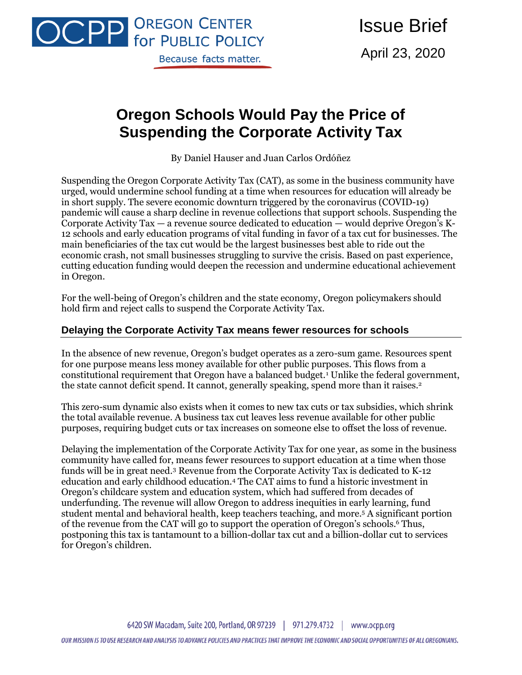

Issue Brief April 23, 2020

# **Oregon Schools Would Pay the Price of Suspending the Corporate Activity Tax**

By Daniel Hauser and Juan Carlos Ordóñez

Suspending the Oregon Corporate Activity Tax (CAT), as some in the business community have urged, would undermine school funding at a time when resources for education will already be in short supply. The severe economic downturn triggered by the coronavirus (COVID-19) pandemic will cause a sharp decline in revenue collections that support schools. Suspending the Corporate Activity Tax — a revenue source dedicated to education — would deprive Oregon's K-12 schools and early education programs of vital funding in favor of a tax cut for businesses. The main beneficiaries of the tax cut would be the largest businesses best able to ride out the economic crash, not small businesses struggling to survive the crisis. Based on past experience, cutting education funding would deepen the recession and undermine educational achievement in Oregon.

For the well-being of Oregon's children and the state economy, Oregon policymakers should hold firm and reject calls to suspend the Corporate Activity Tax.

#### **Delaying the Corporate Activity Tax means fewer resources for schools**

In the absence of new revenue, Oregon's budget operates as a zero-sum game. Resources spent for one purpose means less money available for other public purposes. This flows from a constitutional requirement that Oregon have a balanced budget.<sup>1</sup> Unlike the federal government, the state cannot deficit spend. It cannot, generally speaking, spend more than it raises.<sup>2</sup>

This zero-sum dynamic also exists when it comes to new tax cuts or tax subsidies, which shrink the total available revenue. A business tax cut leaves less revenue available for other public purposes, requiring budget cuts or tax increases on someone else to offset the loss of revenue.

Delaying the implementation of the Corporate Activity Tax for one year, as some in the business community have called for, means fewer resources to support education at a time when those funds will be in great need.<sup>3</sup> Revenue from the Corporate Activity Tax is dedicated to K-12 education and early childhood education.<sup>4</sup> The CAT aims to fund a historic investment in Oregon's childcare system and education system, which had suffered from decades of underfunding. The revenue will allow Oregon to address inequities in early learning, fund student mental and behavioral health, keep teachers teaching, and more.<sup>5</sup> A significant portion of the revenue from the CAT will go to support the operation of Oregon's schools.<sup>6</sup> Thus, postponing this tax is tantamount to a billion-dollar tax cut and a billion-dollar cut to services for Oregon's children.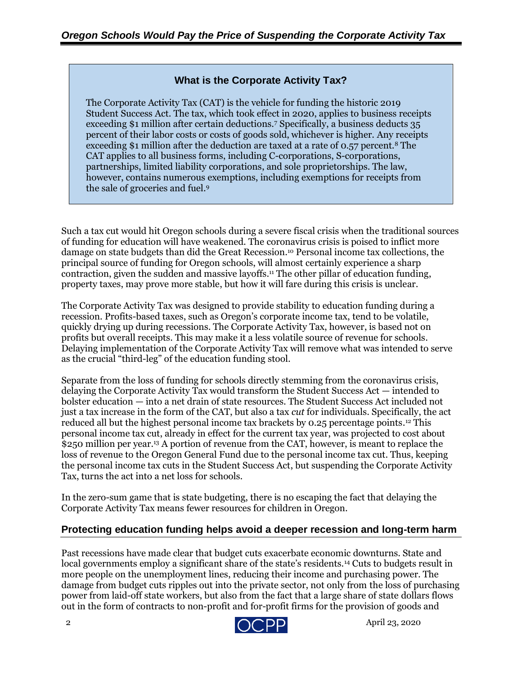# **What is the Corporate Activity Tax?**

The Corporate Activity Tax (CAT) is the vehicle for funding the historic 2019 Student Success Act. The tax, which took effect in 2020, applies to business receipts exceeding \$1 million after certain deductions.<sup>7</sup> Specifically, a business deducts 35 percent of their labor costs or costs of goods sold, whichever is higher. Any receipts exceeding \$1 million after the deduction are taxed at a rate of 0.57 percent.<sup>8</sup> The CAT applies to all business forms, including C-corporations, S-corporations, partnerships, limited liability corporations, and sole proprietorships. The law, however, contains numerous exemptions, including exemptions for receipts from the sale of groceries and fuel. 9

Such a tax cut would hit Oregon schools during a severe fiscal crisis when the traditional sources of funding for education will have weakened. The coronavirus crisis is poised to inflict more damage on state budgets than did the Great Recession.<sup>10</sup> Personal income tax collections, the principal source of funding for Oregon schools, will almost certainly experience a sharp contraction, given the sudden and massive layoffs.<sup>11</sup> The other pillar of education funding, property taxes, may prove more stable, but how it will fare during this crisis is unclear.

The Corporate Activity Tax was designed to provide stability to education funding during a recession. Profits-based taxes, such as Oregon's corporate income tax, tend to be volatile, quickly drying up during recessions. The Corporate Activity Tax, however, is based not on profits but overall receipts. This may make it a less volatile source of revenue for schools. Delaying implementation of the Corporate Activity Tax will remove what was intended to serve as the crucial "third-leg" of the education funding stool.

Separate from the loss of funding for schools directly stemming from the coronavirus crisis, delaying the Corporate Activity Tax would transform the Student Success Act — intended to bolster education — into a net drain of state resources. The Student Success Act included not just a tax increase in the form of the CAT, but also a tax *cut* for individuals. Specifically, the act reduced all but the highest personal income tax brackets by 0.25 percentage points. <sup>12</sup> This personal income tax cut, already in effect for the current tax year, was projected to cost about \$250 million per year. <sup>13</sup> A portion of revenue from the CAT, however, is meant to replace the loss of revenue to the Oregon General Fund due to the personal income tax cut. Thus, keeping the personal income tax cuts in the Student Success Act, but suspending the Corporate Activity Tax, turns the act into a net loss for schools.

In the zero-sum game that is state budgeting, there is no escaping the fact that delaying the Corporate Activity Tax means fewer resources for children in Oregon.

# **Protecting education funding helps avoid a deeper recession and long-term harm**

Past recessions have made clear that budget cuts exacerbate economic downturns. State and local governments employ a significant share of the state's residents.<sup>14</sup> Cuts to budgets result in more people on the unemployment lines, reducing their income and purchasing power. The damage from budget cuts ripples out into the private sector, not only from the loss of purchasing power from laid-off state workers, but also from the fact that a large share of state dollars flows out in the form of contracts to non-profit and for-profit firms for the provision of goods and

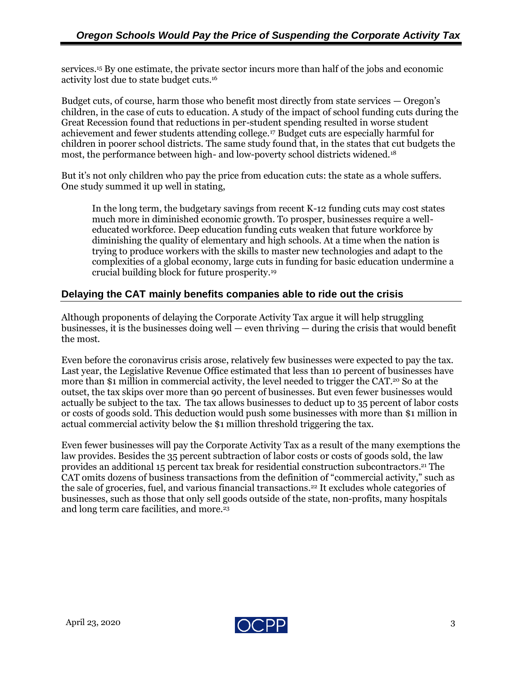services.<sup>15</sup> By one estimate, the private sector incurs more than half of the jobs and economic activity lost due to state budget cuts. 16

Budget cuts, of course, harm those who benefit most directly from state services — Oregon's children, in the case of cuts to education. A study of the impact of school funding cuts during the Great Recession found that reductions in per-student spending resulted in worse student achievement and fewer students attending college.<sup>17</sup> Budget cuts are especially harmful for children in poorer school districts. The same study found that, in the states that cut budgets the most, the performance between high- and low-poverty school districts widened.<sup>18</sup>

But it's not only children who pay the price from education cuts: the state as a whole suffers. One study summed it up well in stating,

In the long term, the budgetary savings from recent K-12 funding cuts may cost states much more in diminished economic growth. To prosper, businesses require a welleducated workforce. Deep education funding cuts weaken that future workforce by diminishing the quality of elementary and high schools. At a time when the nation is trying to produce workers with the skills to master new technologies and adapt to the complexities of a global economy, large cuts in funding for basic education undermine a crucial building block for future prosperity.<sup>19</sup>

#### **Delaying the CAT mainly benefits companies able to ride out the crisis**

Although proponents of delaying the Corporate Activity Tax argue it will help struggling businesses, it is the businesses doing well — even thriving — during the crisis that would benefit the most.

Even before the coronavirus crisis arose, relatively few businesses were expected to pay the tax. Last year, the Legislative Revenue Office estimated that less than 10 percent of businesses have more than \$1 million in commercial activity, the level needed to trigger the CAT. <sup>20</sup> So at the outset, the tax skips over more than 90 percent of businesses. But even fewer businesses would actually be subject to the tax. The tax allows businesses to deduct up to 35 percent of labor costs or costs of goods sold. This deduction would push some businesses with more than \$1 million in actual commercial activity below the \$1 million threshold triggering the tax.

Even fewer businesses will pay the Corporate Activity Tax as a result of the many exemptions the law provides. Besides the 35 percent subtraction of labor costs or costs of goods sold, the law provides an additional 15 percent tax break for residential construction subcontractors. <sup>21</sup> The CAT omits dozens of business transactions from the definition of "commercial activity," such as the sale of groceries, fuel, and various financial transactions.<sup>22</sup> It excludes whole categories of businesses, such as those that only sell goods outside of the state, non-profits, many hospitals and long term care facilities, and more.<sup>23</sup>

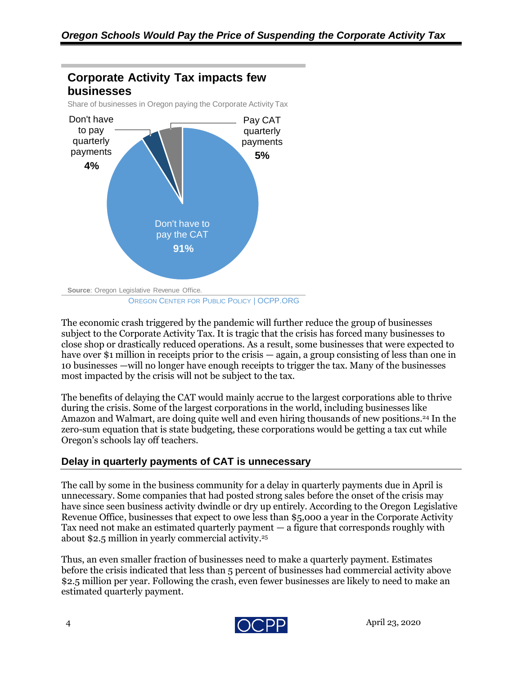

The economic crash triggered by the pandemic will further reduce the group of businesses subject to the Corporate Activity Tax. It is tragic that the crisis has forced many businesses to close shop or drastically reduced operations. As a result, some businesses that were expected to have over \$1 million in receipts prior to the crisis — again, a group consisting of less than one in 10 businesses —will no longer have enough receipts to trigger the tax. Many of the businesses most impacted by the crisis will not be subject to the tax.

The benefits of delaying the CAT would mainly accrue to the largest corporations able to thrive during the crisis. Some of the largest corporations in the world, including businesses like Amazon and Walmart, are doing quite well and even hiring thousands of new positions. <sup>24</sup> In the zero-sum equation that is state budgeting, these corporations would be getting a tax cut while Oregon's schools lay off teachers.

# **Delay in quarterly payments of CAT is unnecessary**

The call by some in the business community for a delay in quarterly payments due in April is unnecessary. Some companies that had posted strong sales before the onset of the crisis may have since seen business activity dwindle or dry up entirely. According to the Oregon Legislative Revenue Office, businesses that expect to owe less than \$5,000 a year in the Corporate Activity Tax need not make an estimated quarterly payment — a figure that corresponds roughly with about \$2.5 million in yearly commercial activity. 25

Thus, an even smaller fraction of businesses need to make a quarterly payment. Estimates before the crisis indicated that less than 5 percent of businesses had commercial activity above \$2.5 million per year. Following the crash, even fewer businesses are likely to need to make an estimated quarterly payment.

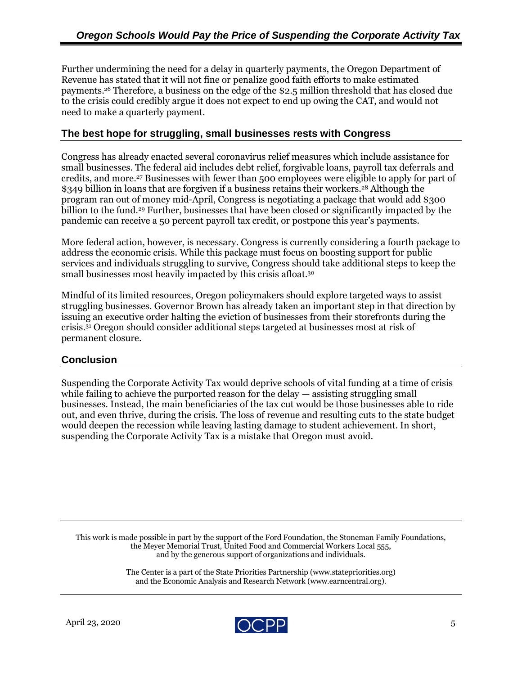Further undermining the need for a delay in quarterly payments, the Oregon Department of Revenue has stated that it will not fine or penalize good faith efforts to make estimated payments.<sup>26</sup> Therefore, a business on the edge of the \$2.5 million threshold that has closed due to the crisis could credibly argue it does not expect to end up owing the CAT, and would not need to make a quarterly payment.

### **The best hope for struggling, small businesses rests with Congress**

Congress has already enacted several coronavirus relief measures which include assistance for small businesses. The federal aid includes debt relief, forgivable loans, payroll tax deferrals and credits, and more. <sup>27</sup> Businesses with fewer than 500 employees were eligible to apply for part of \$349 billion in loans that are forgiven if a business retains their workers.<sup>28</sup> Although the program ran out of money mid-April, Congress is negotiating a package that would add \$300 billion to the fund. <sup>29</sup> Further, businesses that have been closed or significantly impacted by the pandemic can receive a 50 percent payroll tax credit, or postpone this year's payments.

More federal action, however, is necessary. Congress is currently considering a fourth package to address the economic crisis. While this package must focus on boosting support for public services and individuals struggling to survive, Congress should take additional steps to keep the small businesses most heavily impacted by this crisis afloat. $^{30}$ 

Mindful of its limited resources, Oregon policymakers should explore targeted ways to assist struggling businesses. Governor Brown has already taken an important step in that direction by issuing an executive order halting the eviction of businesses from their storefronts during the crisis.<sup>31</sup> Oregon should consider additional steps targeted at businesses most at risk of permanent closure.

#### **Conclusion**

Suspending the Corporate Activity Tax would deprive schools of vital funding at a time of crisis while failing to achieve the purported reason for the delay  $-$  assisting struggling small businesses. Instead, the main beneficiaries of the tax cut would be those businesses able to ride out, and even thrive, during the crisis. The loss of revenue and resulting cuts to the state budget would deepen the recession while leaving lasting damage to student achievement. In short, suspending the Corporate Activity Tax is a mistake that Oregon must avoid.

This work is made possible in part by the support of the Ford Foundation, the Stoneman Family Foundations, the Meyer Memorial Trust, United Food and Commercial Workers Local 555, and by the generous support of organizations and individuals.

> The Center is a part of the State Priorities Partnership (www.statepriorities.org) and the Economic Analysis and Research Network (www.earncentral.org).

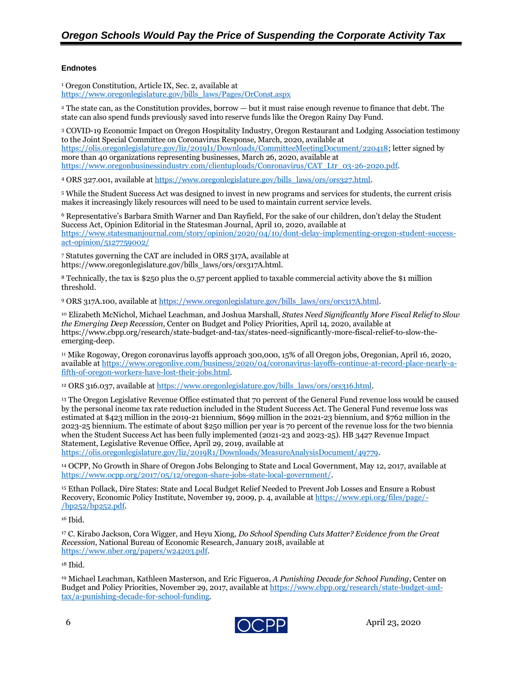#### **Endnotes**

<sup>1</sup> Oregon Constitution, Article IX, Sec. 2, available at [https://www.oregonlegislature.gov/bills\\_laws/Pages/OrConst.aspx](https://www.oregonlegislature.gov/bills_laws/Pages/OrConst.aspx)

<sup>2</sup> The state can, as the Constitution provides, borrow — but it must raise enough revenue to finance that debt. The state can also spend funds previously saved into reserve funds like the Oregon Rainy Day Fund.

<sup>3</sup> COVID-19 Economic Impact on Oregon Hospitality Industry, Oregon Restaurant and Lodging Association testimony to the Joint Special Committee on Coronavirus Response, March, 2020, available at [https://olis.oregonlegislature.gov/liz/2019I1/Downloads/CommitteeMeetingDocument/220418;](https://olis.oregonlegislature.gov/liz/2019I1/Downloads/CommitteeMeetingDocument/220418) letter signed by more than 40 organizations representing businesses, March 26, 2020, available at [https://www.oregonbusinessindustry.com/clientuploads/Conronavirus/CAT\\_Ltr\\_03-26-2020.pdf.](https://www.oregonbusinessindustry.com/clientuploads/Conronavirus/CAT_Ltr_03-26-2020.pdf)

4 ORS 327.001, available a[t https://www.oregonlegislature.gov/bills\\_laws/ors/ors327.html.](https://www.oregonlegislature.gov/bills_laws/ors/ors327.html)

<sup>5</sup> While the Student Success Act was designed to invest in new programs and services for students, the current crisis makes it increasingly likely resources will need to be used to maintain current service levels.

<sup>6</sup> Representative's Barbara Smith Warner and Dan Rayfield, For the sake of our children, don't delay the Student Success Act, Opinion Editorial in the Statesman Journal, April 10, 2020, available at [https://www.statesmanjournal.com/story/opinion/2020/04/10/dont-delay-implementing-oregon-student-success](https://www.statesmanjournal.com/story/opinion/2020/04/10/dont-delay-implementing-oregon-student-success-act-opinion/5127759002/)[act-opinion/5127759002/](https://www.statesmanjournal.com/story/opinion/2020/04/10/dont-delay-implementing-oregon-student-success-act-opinion/5127759002/)

<sup>7</sup> Statutes governing the CAT are included in ORS 317A, available at https://www.oregonlegislature.gov/bills\_laws/ors/ors317A.html.

<sup>8</sup> Technically, the tax is \$250 plus the 0.57 percent applied to taxable commercial activity above the \$1 million threshold.

<sup>9</sup> ORS 317A.100, available a[t https://www.oregonlegislature.gov/bills\\_laws/ors/ors317A.html.](https://www.oregonlegislature.gov/bills_laws/ors/ors317A.html)

<sup>10</sup> Elizabeth McNichol, Michael Leachman, and Joshua Marshall, *States Need Significantly More Fiscal Relief to Slow the Emerging Deep Recession*, Center on Budget and Policy Priorities, April 14, 2020, available at https://www.cbpp.org/research/state-budget-and-tax/states-need-significantly-more-fiscal-relief-to-slow-theemerging-deep.

<sup>11</sup> Mike Rogoway, Oregon coronavirus layoffs approach 300,000, 15% of all Oregon jobs, Oregonian, April 16, 2020, available a[t https://www.oregonlive.com/business/2020/04/coronavirus-layoffs-continue-at-record-place-nearly-a](https://www.oregonlive.com/business/2020/04/coronavirus-layoffs-continue-at-record-place-nearly-a-fifth-of-oregon-workers-have-lost-their-jobs.html)[fifth-of-oregon-workers-have-lost-their-jobs.html.](https://www.oregonlive.com/business/2020/04/coronavirus-layoffs-continue-at-record-place-nearly-a-fifth-of-oregon-workers-have-lost-their-jobs.html)

<sup>12</sup> ORS 316.037, available a[t https://www.oregonlegislature.gov/bills\\_laws/ors/ors316.html.](https://www.oregonlegislature.gov/bills_laws/ors/ors316.html)

<sup>13</sup> The Oregon Legislative Revenue Office estimated that 70 percent of the General Fund revenue loss would be caused by the personal income tax rate reduction included in the Student Success Act. The General Fund revenue loss was estimated at \$423 million in the 2019-21 biennium, \$699 million in the 2021-23 biennium, and \$762 million in the 2023-25 biennium. The estimate of about \$250 million per year is 70 percent of the revenue loss for the two biennia when the Student Success Act has been fully implemented (2021-23 and 2023-25). HB 3427 Revenue Impact Statement, Legislative Revenue Office, April 29, 2019, available at

[https://olis.oregonlegislature.gov/liz/2019R1/Downloads/MeasureAnalysisDocument/49779.](https://olis.oregonlegislature.gov/liz/2019R1/Downloads/MeasureAnalysisDocument/49779)

<sup>14</sup> OCPP, No Growth in Share of Oregon Jobs Belonging to State and Local Government, May 12, 2017, available at [https://www.ocpp.org/2017/05/12/oregon-share-jobs-state-local-government/.](https://www.ocpp.org/2017/05/12/oregon-share-jobs-state-local-government/)

<sup>15</sup> Ethan Pollack, Dire States: State and Local Budget Relief Needed to Prevent Job Losses and Ensure a Robust Recovery, Economic Policy Institute, November 19, 2009, p. 4, available a[t https://www.epi.org/files/page/-](https://www.epi.org/files/page/-/bp252/bp252.pdf) [/bp252/bp252.pdf.](https://www.epi.org/files/page/-/bp252/bp252.pdf)

<sup>16</sup> Ibid.

<sup>17</sup> C. Kirabo Jackson, Cora Wigger, and Heyu Xiong, *Do School Spending Cuts Matter? Evidence from the Great Recession*, National Bureau of Economic Research, January 2018, available at [https://www.nber.org/papers/w24203.pdf.](https://www.nber.org/papers/w24203.pdf)

 $18$  Ibid.

<sup>19</sup> Michael Leachman, Kathleen Masterson, and Eric Figueroa, *A Punishing Decade for School Funding*, Center on Budget and Policy Priorities, November 29, 2017, available a[t https://www.cbpp.org/research/state-budget-and](https://www.cbpp.org/research/state-budget-and-tax/a-punishing-decade-for-school-funding)[tax/a-punishing-decade-for-school-funding.](https://www.cbpp.org/research/state-budget-and-tax/a-punishing-decade-for-school-funding)